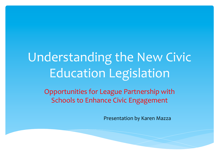# Understanding the New Civic **Education Legislation**

Opportunities for League Partnership with Schools to Enhance Civic Engagement

**Presentation by Karen Mazza**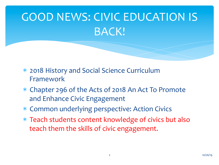# GOOD NEWS: CIVIC EDUCATION IS BACK!

- \* 2018 History and Social Science Curriculum Framework
- \* Chapter 296 of the Acts of 2018 An Act To Promote and Enhance Civic Engagement
- \* Common underlying perspective: Action Civics
- \* Teach students content knowledge of civics but also teach them the skills of civic engagement.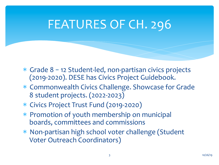### FEATURES OF CH. 296

- $*$  Grade  $8 12$  Student-led, non-partisan civics projects (2019-2020). DESE has Civics Project Guidebook.
- \* Commonwealth Civics Challenge. Showcase for Grade 8 student projects. (2022-2023)
- \* Civics Project Trust Fund (2019-2020)
- \* Promotion of youth membership on municipal boards, committees and commissions
- \* Non-partisan high school voter challenge (Student Voter Outreach Coordinators)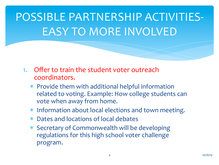## POSSIBLE PARTNERSHIP ACTIVITIES-EASY TO MORE INVOLVED

- 1. Offer to train the student voter outreach coordinators.
	- $*$  Provide them with additional helpful information related to voting. Example: How college students can vote when away from home.
	- \* Information about local elections and town meeting.
	- \* Dates and locations of local debates
	- \* Secretary of Commonwealth will be developing regulations for this high school voter challenge program.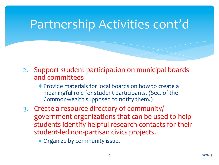#### Partnership Activities cont'd

2. Support student participation on municipal boards and committees 

 $*$  Provide materials for local boards on how to create a meaningful role for student participants. (Sec. of the Commonwealth supposed to notify them.)

- 3. Create a resource directory of community/ government organizations that can be used to help students identify helpful research contacts for their student-led non-partisan civics projects.
	- \* Organize by community issue.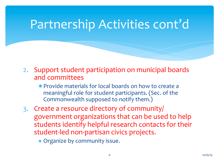#### Partnership Activities cont'd

2. Support student participation on municipal boards and committees 

 $*$  Provide materials for local boards on how to create a meaningful role for student participants. (Sec. of the Commonwealth supposed to notify them.)

- 3. Create a resource directory of community/ government organizations that can be used to help students identify helpful research contacts for their student-led non-partisan civics projects.
	- \* Organize by community issue.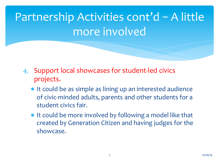Partnership Activities cont'd - A little more involved

- 4. Support local showcases for student-led civics projects.
	- \* It could be as simple as lining up an interested audience of civic-minded adults, parents and other students for a student civics fair.
	- $*$  It could be more involved by following a model like that created by Generation Citizen and having judges for the showcase.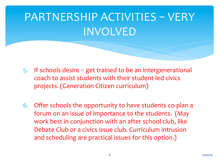## PARTNERSHIP ACTIVITIES - VERY INVOLVED

- 5. If schools desire  $-$  get trained to be an intergenerational coach to assist students with their student-led civics projects. (Generation Citizen curriculum)
- 6. Offer schools the opportunity to have students co-plan a forum on an issue of importance to the students. (May work best in conjunction with an after school club, like Debate Club or a civics issue club. Curriculum intrusion and scheduling are practical issues for this option.)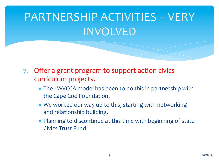## PARTNERSHIP ACTIVITIES - VERY INVOLVED

- 7. Offer a grant program to support action civics curriculum projects.
	- \* The LWVCCA model has been to do this in partnership with the Cape Cod Foundation.
	- \* We worked our way up to this, starting with networking and relationship building.
	- \* Planning to discontinue at this time with beginning of state Civics Trust Fund.